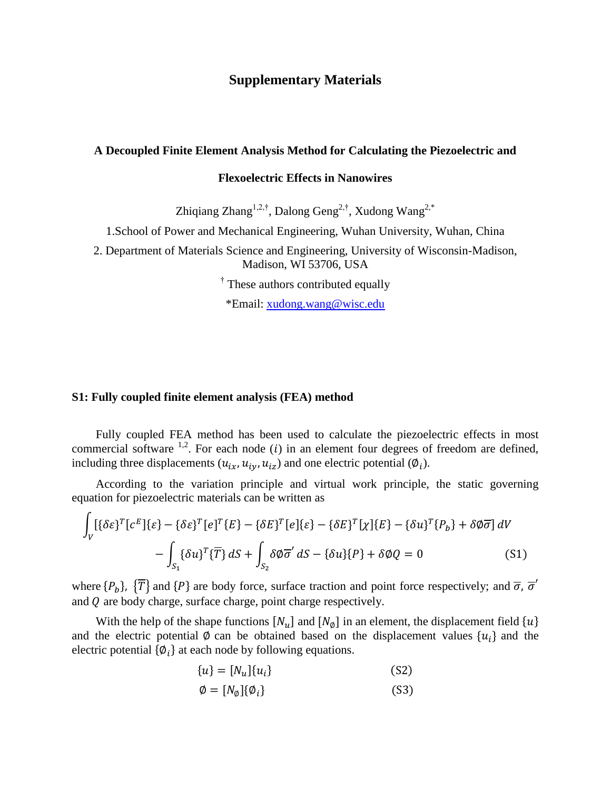# **Supplementary Materials**

#### **A Decoupled Finite Element Analysis Method for Calculating the Piezoelectric and**

#### **Flexoelectric Effects in Nanowires**

Zhiqiang Zhang<sup>1,2,†</sup>, Dalong Geng<sup>2,†</sup>, Xudong Wang<sup>2,\*</sup>

1.School of Power and Mechanical Engineering, Wuhan University, Wuhan, China

2. Department of Materials Science and Engineering, University of Wisconsin-Madison, Madison, WI 53706, USA

<sup>†</sup> These authors contributed equally

\*Email: [xudong.wang@wisc.edu](mailto:xudong.wang@wisc.edu)

#### **S1: Fully coupled finite element analysis (FEA) method**

Fully coupled FEA method has been used to calculate the piezoelectric effects in most commercial software  $^{1,2}$  $^{1,2}$  $^{1,2}$  $^{1,2}$ . For each node (i) in an element four degrees of freedom are defined, including three displacements  $(u_{ix}, u_{iy}, u_{iz})$  and one electric potential  $(\emptyset_i)$ .

According to the variation principle and virtual work principle, the static governing equation for piezoelectric materials can be written as

$$
\int_{V} [ \{\delta \varepsilon\}^{T} [c^{E}] \{\varepsilon\} - \{\delta \varepsilon\}^{T} [e^{T} \{E\} - \{\delta E\}^{T} [e] \{\varepsilon\} - \{\delta E\}^{T} [\chi] \{E\} - \{\delta u\}^{T} \{P_{b}\} + \delta \varphi \overline{\sigma} \} dV
$$

$$
- \int_{S_{1}} \{\delta u\}^{T} \{\overline{T}\} dS + \int_{S_{2}} \delta \varphi \overline{\sigma}^{\prime} dS - \{\delta u\} \{P\} + \delta \varphi Q = 0
$$
(S1)

where  $\{P_b\}$ ,  $\{\overline{T}\}$  and  $\{P\}$  are body force, surface traction and point force respectively; and  $\overline{\sigma}$ ,  $\overline{\sigma}'$ and  $\theta$  are body charge, surface charge, point charge respectively.

With the help of the shape functions  $[N_u]$  and  $[N_\phi]$  in an element, the displacement field  $\{u\}$ and the electric potential  $\emptyset$  can be obtained based on the displacement values  $\{u_i\}$  and the electric potential  $\{\phi_i\}$  at each node by following equations.

$$
\{u\} = [N_u]\{u_i\} \tag{S2}
$$

$$
\emptyset = [N_{\emptyset}]\{\emptyset_i\} \tag{S3}
$$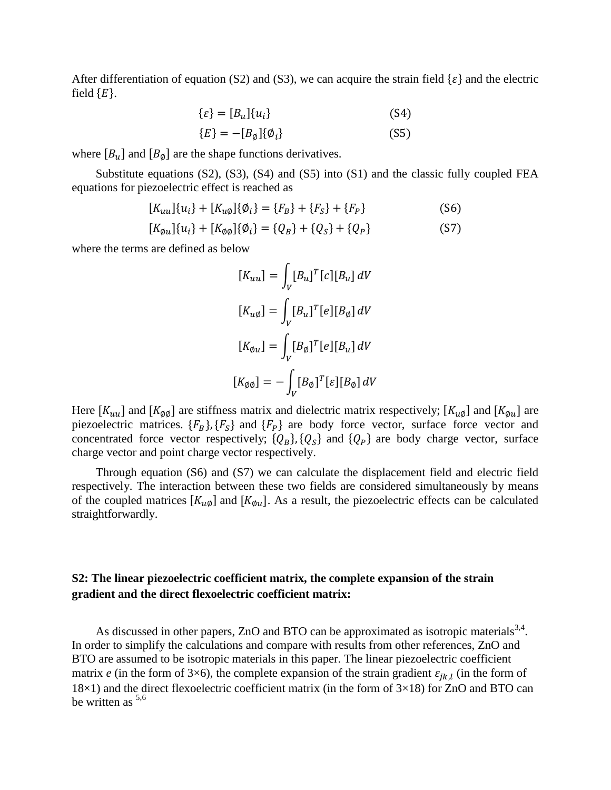After differentiation of equation (S2) and (S3), we can acquire the strain field  $\{\varepsilon\}$  and the electric field  ${E}$ .

$$
\{\varepsilon\} = [B_u]\{u_i\} \tag{S4}
$$

$$
\{E\} = -[B_{\emptyset}]\{\emptyset_i\} \tag{S5}
$$

where  $[B_u]$  and  $[B_{\emptyset}]$  are the shape functions derivatives.

Substitute equations  $(S2)$ ,  $(S3)$ ,  $(S4)$  and  $(S5)$  into  $(S1)$  and the classic fully coupled FEA equations for piezoelectric effect is reached as

$$
[K_{uu}]\{u_i\} + [K_{u\emptyset}]\{\emptyset_i\} = \{F_B\} + \{F_S\} + \{F_P\}
$$
\n(S6)

$$
[K_{\emptyset u}]\{u_i\} + [K_{\emptyset \emptyset}]\{\emptyset_i\} = \{Q_B\} + \{Q_S\} + \{Q_P\}
$$
 (S7)

where the terms are defined as below

$$
[K_{uu}] = \int_V [B_u]^T [c][B_u] dV
$$
  
\n
$$
[K_{u\emptyset}] = \int_V [B_u]^T [e][B_{\emptyset}] dV
$$
  
\n
$$
[K_{\emptyset u}] = \int_V [B_{\emptyset}]^T [e][B_u] dV
$$
  
\n
$$
[K_{\emptyset \emptyset}] = - \int_V [B_{\emptyset}]^T [\varepsilon][B_{\emptyset}] dV
$$

Here  $[K_{uu}]$  and  $[K_{\phi\phi}]$  are stiffness matrix and dielectric matrix respectively;  $[K_{u\phi}]$  and  $[K_{\phi u}]$  are piezoelectric matrices.  ${F_B}$ ,  ${F_S}$  and  ${F_P}$  are body force vector, surface force vector and concentrated force vector respectively;  ${Q_B}$ ,  ${Q_S}$  and  ${Q_P}$  are body charge vector, surface charge vector and point charge vector respectively.

Through equation (S6) and (S7) we can calculate the displacement field and electric field respectively. The interaction between these two fields are considered simultaneously by means of the coupled matrices  $[K_{u\phi}]$  and  $[K_{\phi u}]$ . As a result, the piezoelectric effects can be calculated straightforwardly.

# **S2: The linear piezoelectric coefficient matrix, the complete expansion of the strain gradient and the direct flexoelectric coefficient matrix:**

As discussed in other papers, ZnO and BTO can be approximated as isotropic materials  $3,4$  $3,4$ . In order to simplify the calculations and compare with results from other references, ZnO and BTO are assumed to be isotropic materials in this paper. The linear piezoelectric coefficient matrix *e* (in the form of 3×6), the complete expansion of the strain gradient  $\varepsilon_{jk,l}$  (in the form of  $18\times1$ ) and the direct flexoelectric coefficient matrix (in the form of  $3\times18$ ) for ZnO and BTO can be written as <sup>[5,](#page-7-4)[6](#page-7-5)</sup>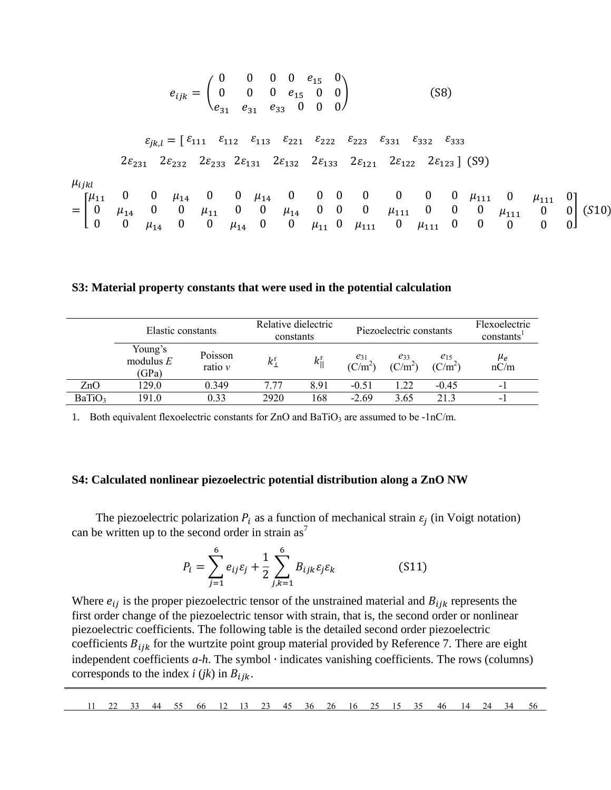$$
e_{ijk} = \begin{pmatrix} 0 & 0 & 0 & 0 & e_{15} & 0 \\ 0 & 0 & 0 & e_{15} & 0 & 0 \\ e_{31} & e_{31} & e_{33} & 0 & 0 & 0 \end{pmatrix}
$$
 (S8)

$$
\begin{aligned} \varepsilon_{jk,l} = \left[\begin{array}{cccccccccc} \varepsilon_{111} & \varepsilon_{112} & \varepsilon_{113} & \varepsilon_{221} & \varepsilon_{222} & \varepsilon_{223} & \varepsilon_{331} & \varepsilon_{332} & \varepsilon_{333} \end{array}\right. \\ 2\, & \varepsilon_{231} & 2\varepsilon_{232} & 2\varepsilon_{233} & 2\varepsilon_{131} & 2\varepsilon_{132} & 2\varepsilon_{133} & 2\varepsilon_{121} & 2\varepsilon_{122} & 2\varepsilon_{123} \end{array}\right] \end{aligned} \tag{S9}
$$

 $\mu_{ijkl}$ 

| 1 LINL |  |  |  |  |  |  |  |  |                                                                                                                                                                                                  |                                                                                                                                                    |
|--------|--|--|--|--|--|--|--|--|--------------------------------------------------------------------------------------------------------------------------------------------------------------------------------------------------|----------------------------------------------------------------------------------------------------------------------------------------------------|
|        |  |  |  |  |  |  |  |  | $\lbrack \mu_{11} \quad 0 \quad 0 \quad \mu_{14} \quad 0 \quad 0 \quad \mu_{14} \quad 0 \quad 0 \quad 0 \quad 0 \quad 0 \quad 0 \quad 0 \quad \mu_{111} \quad 0 \quad \mu_{111} \quad 0 \rbrack$ |                                                                                                                                                    |
|        |  |  |  |  |  |  |  |  |                                                                                                                                                                                                  | $= \begin{bmatrix} 0 & \mu_{14} & 0 & 0 & \mu_{11} & 0 & 0 & \mu_{14} & 0 & 0 & 0 & \mu_{111} & 0 & 0 & 0 & \mu_{111} & 0 & 0 \end{bmatrix}$ (S10) |
|        |  |  |  |  |  |  |  |  | [ 0 0 $\mu_{14}$ 0 0 $\mu_{14}$ 0 0 $\mu_{11}$ 0 $\mu_{111}$ 0 $\mu_{111}$ 0 0 0 0 0                                                                                                             |                                                                                                                                                    |

#### **S3: Material property constants that were used in the potential calculation**

|                    | Elastic constants               |                        | Relative dielectric<br>constants |                         |                       | Piezoelectric constants | Flexoelectric<br>constants <sup>'</sup> |                          |  |
|--------------------|---------------------------------|------------------------|----------------------------------|-------------------------|-----------------------|-------------------------|-----------------------------------------|--------------------------|--|
|                    | Young's<br>modulus $E$<br>(GPa) | Poisson<br>ratio $\nu$ | k <sup>r</sup>                   | $k_{\parallel}^{\rm r}$ | $e_{31}$<br>$(C/m^2)$ | е33<br>$(C/m^2)$        | $e_{15}$<br>$(C/m^2)$                   | $\mu_e$<br>nC/m          |  |
| ZnO                | 129.0                           | 0.349                  | 7.77                             | 8.91                    | $-0.51$               | 1.22                    | $-0.45$                                 | $\overline{\phantom{0}}$ |  |
| BaTiO <sub>3</sub> | 191.0                           | 0.33                   | 2920                             | 168                     | $-2.69$               | 3.65                    | 21.3                                    | $\overline{\phantom{0}}$ |  |

1. Both equivalent flexoelectric constants for  $ZnO$  and  $BaTiO<sub>3</sub>$  are assumed to be -1nC/m.

### **S4: Calculated nonlinear piezoelectric potential distribution along a ZnO NW**

The piezoelectric polarization  $P_i$  as a function of mechanical strain  $\varepsilon_j$  (in Voigt notation) can be written up to the [s](#page-7-6)econd order in strain  $as<sup>7</sup>$ 

$$
P_i = \sum_{j=1}^6 e_{ij} \varepsilon_j + \frac{1}{2} \sum_{j,k=1}^6 B_{ijk} \varepsilon_j \varepsilon_k
$$
 (S11)

Where  $e_{ij}$  is the proper piezoelectric tensor of the unstrained material and  $B_{ijk}$  represents the first order change of the piezoelectric tensor with strain, that is, the second order or nonlinear piezoelectric coefficients. The following table is the detailed second order piezoelectric coefficients  $B_{ijk}$  for the wurtzite point group material provided by Reference 7. There are eight independent coefficients *a*-*h*. The symbol ∙ indicates vanishing coefficients. The rows (columns) corresponds to the index  $i$  ( $jk$ ) in  $B_{ijk}$ .

|  | 11 22 33 44 55 66 12 13 23 45 36 26 16 25 15 35 46 14 24 34 56 |  |  |  |  |  |  |  |  |  |  |  |  |  |  |  |  |  |  |  |  |  |
|--|----------------------------------------------------------------|--|--|--|--|--|--|--|--|--|--|--|--|--|--|--|--|--|--|--|--|--|
|--|----------------------------------------------------------------|--|--|--|--|--|--|--|--|--|--|--|--|--|--|--|--|--|--|--|--|--|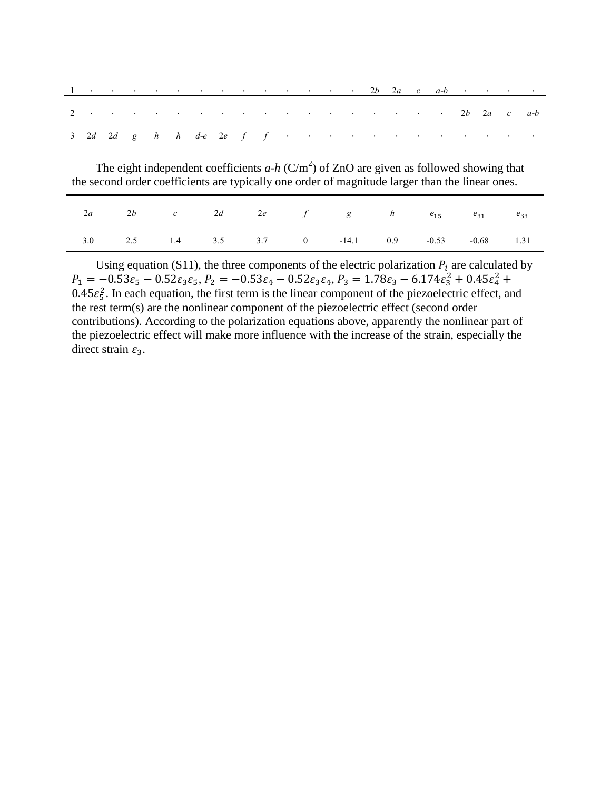|  |  |  |  |  |  |  |  |  |  | 2 $2 \cdot 2a + 2b + 2a + c$                                                                                                                                                                                                                      |
|--|--|--|--|--|--|--|--|--|--|---------------------------------------------------------------------------------------------------------------------------------------------------------------------------------------------------------------------------------------------------|
|  |  |  |  |  |  |  |  |  |  | $\frac{3}{2}$ and $\frac{2d}{2d}$ and $\frac{d}{d}$ h $\frac{d}{d}$ are $\frac{2e}{d}$ f in the set of the set of the set of the set of the set of the set of the set of the set of the set of the set of the set of the set of the set of the se |

The eight independent coefficients  $a-h$  (C/m<sup>2</sup>) of ZnO are given as followed showing that the second order coefficients are typically one order of magnitude larger than the linear ones.

|  |  |  | 2 <i>a</i> 2 <i>b c</i> 2 <i>d</i> 2 <i>e f</i> g <i>h</i> $e_{15}$ $e_{31}$ $e_{33}$ |  |  |
|--|--|--|---------------------------------------------------------------------------------------|--|--|
|  |  |  | 3.0 2.5 1.4 3.5 3.7 0 -14.1 0.9 -0.53 -0.68 1.31                                      |  |  |

Using equation (S11), the three components of the electric polarization  $P_i$  are calculated by  $P_1 = -0.53\varepsilon_5 - 0.52\varepsilon_3\varepsilon_5, P_2 = -0.53\varepsilon_4 - 0.52\varepsilon_3\varepsilon_4, P_3 = 1.78\varepsilon_3 - 6.174\varepsilon_3^2 + 0.45\varepsilon_4^2 +$  $0.45\epsilon_5^2$ . In each equation, the first term is the linear component of the piezoelectric effect, and the rest term(s) are the nonlinear component of the piezoelectric effect (second order contributions). According to the polarization equations above, apparently the nonlinear part of the piezoelectric effect will make more influence with the increase of the strain, especially the direct strain  $\varepsilon_3$ .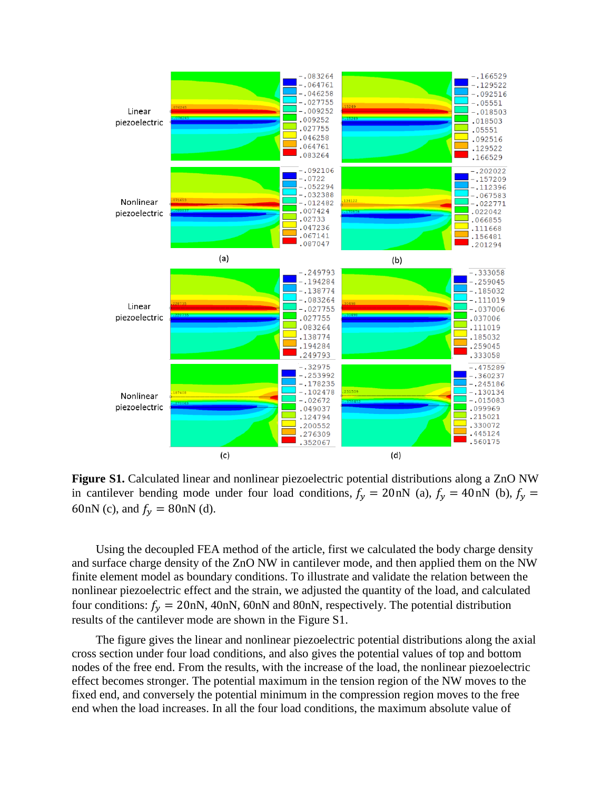

**Figure S1.** Calculated linear and nonlinear piezoelectric potential distributions along a ZnO NW in cantilever bending mode under four load conditions,  $f_y = 20 \text{ nN}$  (a),  $f_y = 40 \text{ nN}$  (b),  $f_y =$ 60nN (c), and  $f_v = 80$ nN (d).

Using the decoupled FEA method of the article, first we calculated the body charge density and surface charge density of the ZnO NW in cantilever mode, and then applied them on the NW finite element model as boundary conditions. To illustrate and validate the relation between the nonlinear piezoelectric effect and the strain, we adjusted the quantity of the load, and calculated four conditions:  $f_v = 20$ nN, 40nN, 60nN and 80nN, respectively. The potential distribution results of the cantilever mode are shown in the Figure S1.

The figure gives the linear and nonlinear piezoelectric potential distributions along the axial cross section under four load conditions, and also gives the potential values of top and bottom nodes of the free end. From the results, with the increase of the load, the nonlinear piezoelectric effect becomes stronger. The potential maximum in the tension region of the NW moves to the fixed end, and conversely the potential minimum in the compression region moves to the free end when the load increases. In all the four load conditions, the maximum absolute value of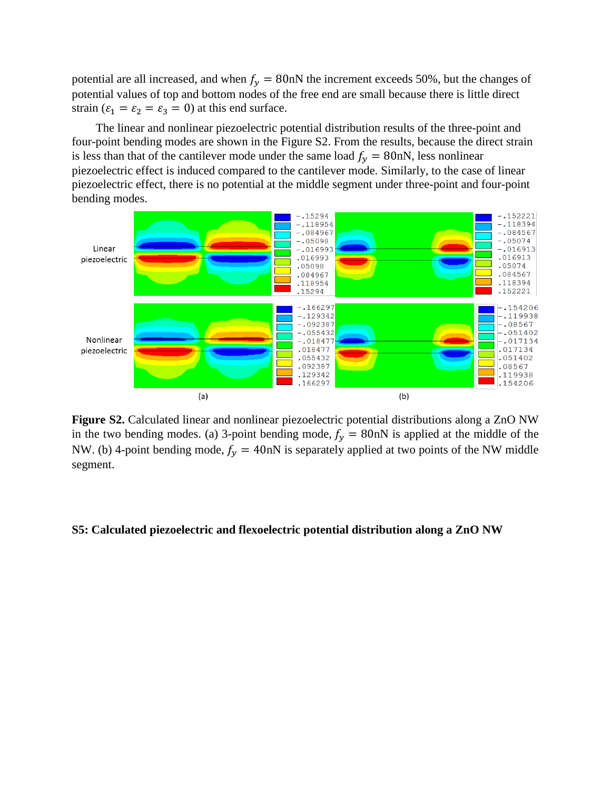potential are all increased, and when  $f_y = 80$  nN the increment exceeds 50%, but the changes of potential values of top and bottom nodes of the free end are small because there is little direct strain ( $\varepsilon_1 = \varepsilon_2 = \varepsilon_3 = 0$ ) at this end surface.

The linear and nonlinear piezoelectric potential distribution results of the three-point and four-point bending modes are shown in the Figure S2. From the results, because the direct strain is less than that of the cantilever mode under the same load  $f_v = 80$ nN, less nonlinear piezoelectric effect is induced compared to the cantilever mode. Similarly, to the case of linear piezoelectric effect, there is no potential at the middle segment under three-point and four-point bending modes.



**Figure S2.** Calculated linear and nonlinear piezoelectric potential distributions along a ZnO NW in the two bending modes. (a) 3-point bending mode,  $f_y = 80$  nN is applied at the middle of the NW. (b) 4-point bending mode,  $f_v = 40$ nN is separately applied at two points of the NW middle segment.

### **S5: Calculated piezoelectric and flexoelectric potential distribution along a ZnO NW**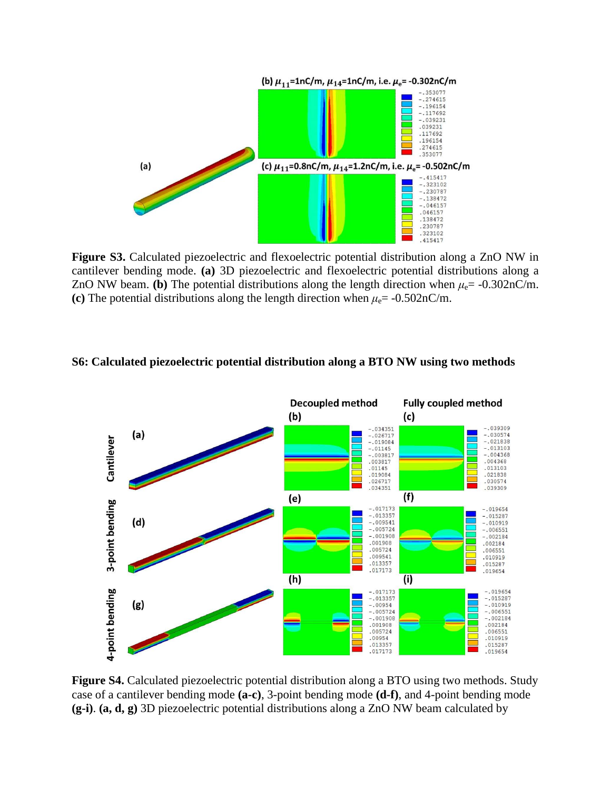

**Figure S3.** Calculated piezoelectric and flexoelectric potential distribution along a ZnO NW in cantilever bending mode. **(a)** 3D piezoelectric and flexoelectric potential distributions along a ZnO NW beam. **(b)** The potential distributions along the length direction when  $\mu_e$  = -0.302nC/m. **(c)** The potential distributions along the length direction when  $\mu_e$  = -0.502nC/m.

## **S6: Calculated piezoelectric potential distribution along a BTO NW using two methods**



**Figure S4.** Calculated piezoelectric potential distribution along a BTO using two methods. Study case of a cantilever bending mode **(a-c)**, 3-point bending mode **(d-f)**, and 4-point bending mode **(g-i)**. **(a, d, g)** 3D piezoelectric potential distributions along a ZnO NW beam calculated by